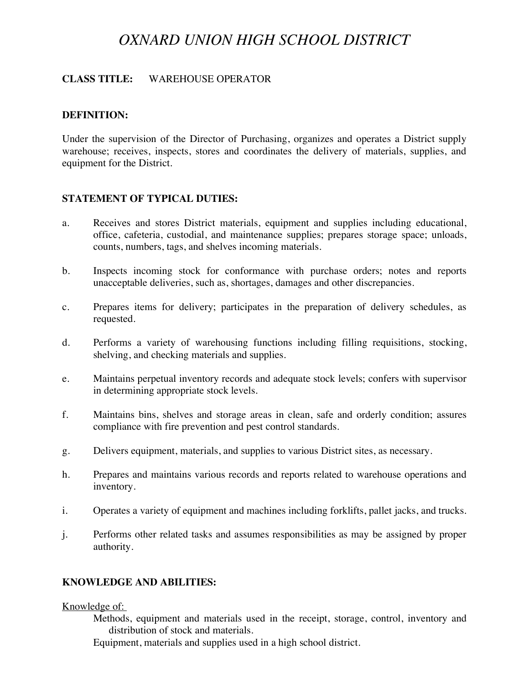# *OXNARD UNION HIGH SCHOOL DISTRICT*

# **CLASS TITLE:** WAREHOUSE OPERATOR

# **DEFINITION:**

Under the supervision of the Director of Purchasing, organizes and operates a District supply warehouse; receives, inspects, stores and coordinates the delivery of materials, supplies, and equipment for the District.

# **STATEMENT OF TYPICAL DUTIES:**

- a. Receives and stores District materials, equipment and supplies including educational, office, cafeteria, custodial, and maintenance supplies; prepares storage space; unloads, counts, numbers, tags, and shelves incoming materials.
- b. Inspects incoming stock for conformance with purchase orders; notes and reports unacceptable deliveries, such as, shortages, damages and other discrepancies.
- c. Prepares items for delivery; participates in the preparation of delivery schedules, as requested.
- d. Performs a variety of warehousing functions including filling requisitions, stocking, shelving, and checking materials and supplies.
- e. Maintains perpetual inventory records and adequate stock levels; confers with supervisor in determining appropriate stock levels.
- f. Maintains bins, shelves and storage areas in clean, safe and orderly condition; assures compliance with fire prevention and pest control standards.
- g. Delivers equipment, materials, and supplies to various District sites, as necessary.
- h. Prepares and maintains various records and reports related to warehouse operations and inventory.
- i. Operates a variety of equipment and machines including forklifts, pallet jacks, and trucks.
- j. Performs other related tasks and assumes responsibilities as may be assigned by proper authority.

# **KNOWLEDGE AND ABILITIES:**

#### Knowledge of:

 Methods, equipment and materials used in the receipt, storage, control, inventory and distribution of stock and materials.

Equipment, materials and supplies used in a high school district.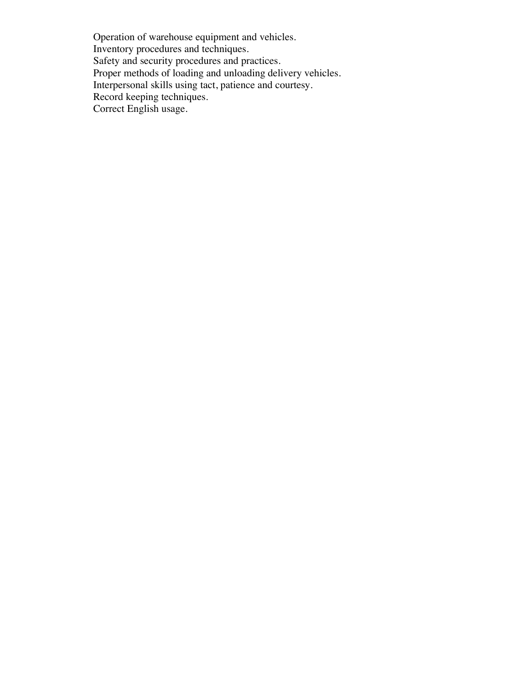Operation of warehouse equipment and vehicles. Inventory procedures and techniques. Safety and security procedures and practices. Proper methods of loading and unloading delivery vehicles. Interpersonal skills using tact, patience and courtesy. Record keeping techniques. Correct English usage.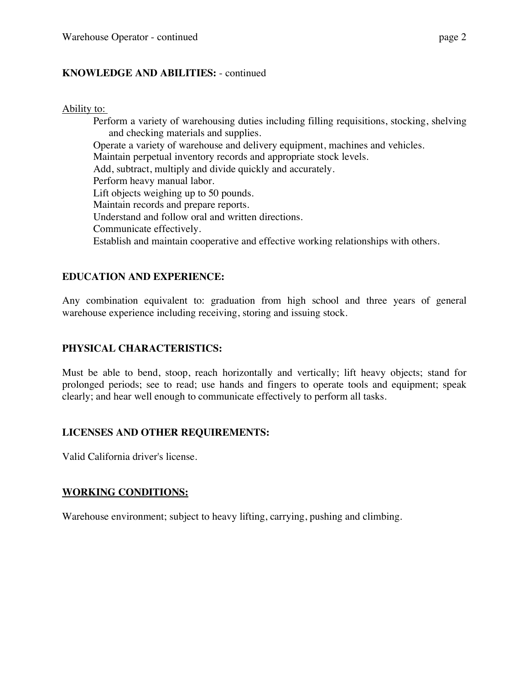# **KNOWLEDGE AND ABILITIES:** - continued

#### Ability to:

 Perform a variety of warehousing duties including filling requisitions, stocking, shelving and checking materials and supplies. Operate a variety of warehouse and delivery equipment, machines and vehicles. Maintain perpetual inventory records and appropriate stock levels. Add, subtract, multiply and divide quickly and accurately. Perform heavy manual labor. Lift objects weighing up to 50 pounds. Maintain records and prepare reports. Understand and follow oral and written directions. Communicate effectively. Establish and maintain cooperative and effective working relationships with others.

# **EDUCATION AND EXPERIENCE:**

Any combination equivalent to: graduation from high school and three years of general warehouse experience including receiving, storing and issuing stock.

# **PHYSICAL CHARACTERISTICS:**

Must be able to bend, stoop, reach horizontally and vertically; lift heavy objects; stand for prolonged periods; see to read; use hands and fingers to operate tools and equipment; speak clearly; and hear well enough to communicate effectively to perform all tasks.

# **LICENSES AND OTHER REQUIREMENTS:**

Valid California driver's license.

# **WORKING CONDITIONS:**

Warehouse environment; subject to heavy lifting, carrying, pushing and climbing.